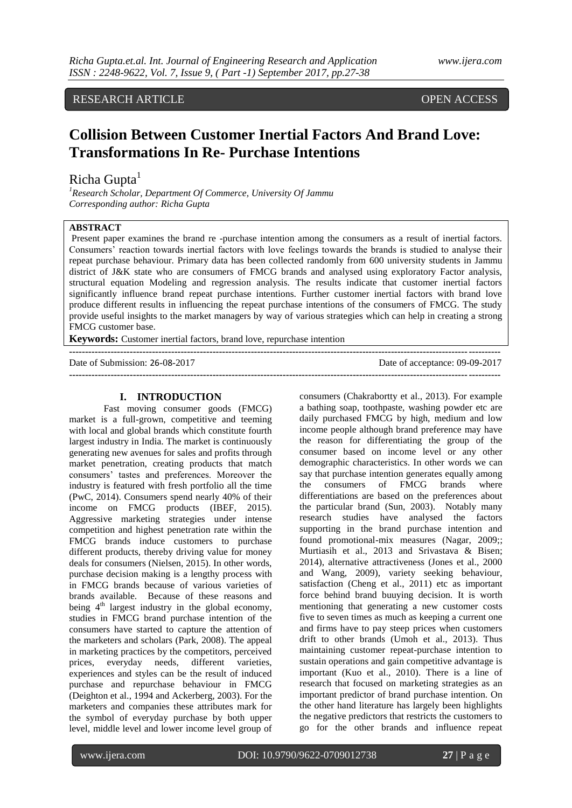# RESEARCH ARTICLE OPEN ACCESS

# **Collision Between Customer Inertial Factors And Brand Love: Transformations In Re- Purchase Intentions**

# Richa Gupta<sup>1</sup>

*<sup>1</sup>Research Scholar, Department Of Commerce, University Of Jammu Corresponding author: Richa Gupta*

# **ABSTRACT**

Present paper examines the brand re -purchase intention among the consumers as a result of inertial factors. Consumers' reaction towards inertial factors with love feelings towards the brands is studied to analyse their repeat purchase behaviour. Primary data has been collected randomly from 600 university students in Jammu district of J&K state who are consumers of FMCG brands and analysed using exploratory Factor analysis, structural equation Modeling and regression analysis. The results indicate that customer inertial factors significantly influence brand repeat purchase intentions. Further customer inertial factors with brand love produce different results in influencing the repeat purchase intentions of the consumers of FMCG. The study provide useful insights to the market managers by way of various strategies which can help in creating a strong FMCG customer base.

**Keywords:** Customer inertial factors, brand love, repurchase intention **---------------------------------------------------------------------------------------------------------------------------------------**

Date of acceptance: 09-09-2017 **---------------------------------------------------------------------------------------------------------------------------------------**

# **I. INTRODUCTION**

Fast moving consumer goods (FMCG) market is a full-grown, competitive and teeming with local and global brands which constitute fourth largest industry in India. The market is continuously generating new avenues for sales and profits through market penetration, creating products that match consumers' tastes and preferences. Moreover the industry is featured with fresh portfolio all the time (PwC, 2014). Consumers spend nearly 40% of their income on FMCG products (IBEF, 2015). Aggressive marketing strategies under intense competition and highest penetration rate within the FMCG brands induce customers to purchase different products, thereby driving value for money deals for consumers (Nielsen, 2015). In other words, purchase decision making is a lengthy process with in FMCG brands because of various varieties of brands available. Because of these reasons and being  $4<sup>th</sup>$  largest industry in the global economy, studies in FMCG brand purchase intention of the consumers have started to capture the attention of the marketers and scholars (Park, 2008). The appeal in marketing practices by the competitors, perceived prices, everyday needs, different varieties, experiences and styles can be the result of induced purchase and repurchase behaviour in FMCG (Deighton et al., 1994 and Ackerberg, 2003). For the marketers and companies these attributes mark for the symbol of everyday purchase by both upper level, middle level and lower income level group of consumers (Chakrabortty et al., 2013). For example a bathing soap, toothpaste, washing powder etc are daily purchased FMCG by high, medium and low income people although brand preference may have the reason for differentiating the group of the consumer based on income level or any other demographic characteristics. In other words we can say that purchase intention generates equally among the consumers of FMCG brands where differentiations are based on the preferences about the particular brand (Sun, 2003). Notably many research studies have analysed the factors supporting in the brand purchase intention and found promotional-mix measures (Nagar, 2009;; Murtiasih et al., 2013 and Srivastava & Bisen; 2014), alternative attractiveness (Jones et al., 2000 and Wang, 2009), variety seeking behaviour, satisfaction (Cheng et al., 2011) etc as important force behind brand buuying decision. It is worth mentioning that generating a new customer costs five to seven times as much as keeping a current one and firms have to pay steep prices when customers drift to other brands (Umoh et al., 2013). Thus maintaining customer repeat-purchase intention to sustain operations and gain competitive advantage is important (Kuo et al., 2010). There is a line of research that focused on marketing strategies as an important predictor of brand purchase intention. On the other hand literature has largely been highlights the negative predictors that restricts the customers to go for the other brands and influence repeat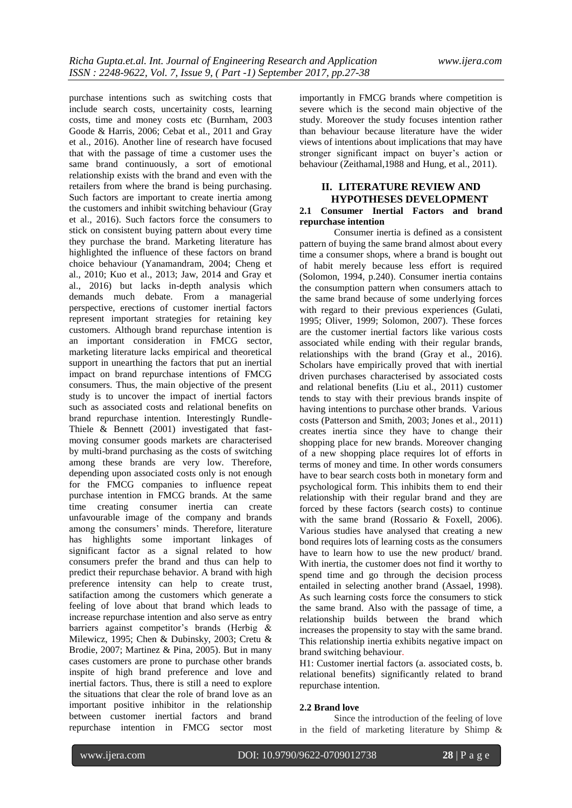purchase intentions such as switching costs that include search costs, uncertainity costs, learning costs, time and money costs etc (Burnham, 2003) Goode & Harris, 2006; Cebat et al., 2011 and Gray et al., 2016). Another line of research have focused that with the passage of time a customer uses the same brand continuously, a sort of emotional relationship exists with the brand and even with the retailers from where the brand is being purchasing. Such factors are important to create inertia among the customers and inhibit switching behaviour (Gray et al., 2016). Such factors force the consumers to stick on consistent buying pattern about every time they purchase the brand. Marketing literature has highlighted the influence of these factors on brand choice behaviour (Yanamandram, 2004; Cheng et al., 2010; Kuo et al., 2013; Jaw, 2014 and Gray et al., 2016) but lacks in-depth analysis which demands much debate. From a managerial perspective, erections of customer inertial factors represent important strategies for retaining key customers. Although brand repurchase intention is an important consideration in FMCG sector, marketing literature lacks empirical and theoretical support in unearthing the factors that put an inertial impact on brand repurchase intentions of FMCG consumers. Thus, the main objective of the present study is to uncover the impact of inertial factors such as associated costs and relational benefits on brand repurchase intention. Interestingly Rundle-Thiele & Bennett (2001) investigated that fastmoving consumer goods markets are characterised by multi-brand purchasing as the costs of switching among these brands are very low. Therefore, depending upon associated costs only is not enough for the FMCG companies to influence repeat purchase intention in FMCG brands. At the same time creating consumer inertia can create unfavourable image of the company and brands among the consumers' minds. Therefore, literature has highlights some important linkages of significant factor as a signal related to how consumers prefer the brand and thus can help to predict their repurchase behavior. A brand with high preference intensity can help to create trust, satifaction among the customers which generate a feeling of love about that brand which leads to increase repurchase intention and also serve as entry barriers against competitor's brands (Herbig & Milewicz, 1995; Chen & Dubinsky, 2003; Cretu & Brodie, 2007; Martinez & Pina, 2005). But in many cases customers are prone to purchase other brands inspite of high brand preference and love and inertial factors. Thus, there is still a need to explore the situations that clear the role of brand love as an important positive inhibitor in the relationship between customer inertial factors and brand repurchase intention in FMCG sector most importantly in FMCG brands where competition is severe which is the second main objective of the study. Moreover the study focuses intention rather than behaviour because literature have the wider views of intentions about implications that may have stronger significant impact on buyer's action or behaviour (Zeithamal,1988 and Hung, et al., 2011).

# **II. LITERATURE REVIEW AND HYPOTHESES DEVELOPMENT 2.1 Consumer Inertial Factors and brand repurchase intention**

Consumer inertia is defined as a consistent pattern of buying the same brand almost about every time a consumer shops, where a brand is bought out of habit merely because less effort is required (Solomon, 1994, p.240). Consumer inertia contains the consumption pattern when consumers attach to the same brand because of some underlying forces with regard to their previous experiences (Gulati, 1995; Oliver, 1999; Solomon, 2007). These forces are the customer inertial factors like various costs associated while ending with their regular brands, relationships with the brand (Gray et al., 2016). Scholars have empirically proved that with inertial driven purchases characterised by associated costs and relational benefits (Liu et al., 2011) customer tends to stay with their previous brands inspite of having intentions to purchase other brands. Various costs (Patterson and Smith, 2003; Jones et al., 2011) creates inertia since they have to change their shopping place for new brands. Moreover changing of a new shopping place requires lot of efforts in terms of money and time. In other words consumers have to bear search costs both in monetary form and psychological form. This inhibits them to end their relationship with their regular brand and they are forced by these factors (search costs) to continue with the same brand (Rossario & Foxell, 2006). Various studies have analysed that creating a new bond requires lots of learning costs as the consumers have to learn how to use the new product/ brand. With inertia, the customer does not find it worthy to spend time and go through the decision process entailed in selecting another brand (Assael, 1998). As such learning costs force the consumers to stick the same brand. Also with the passage of time, a relationship builds between the brand which increases the propensity to stay with the same brand. This relationship inertia exhibits negative impact on brand switching behaviour.

H1: Customer inertial factors (a. associated costs, b. relational benefits) significantly related to brand repurchase intention.

# **2.2 Brand love**

Since the introduction of the feeling of love in the field of marketing literature by Shimp &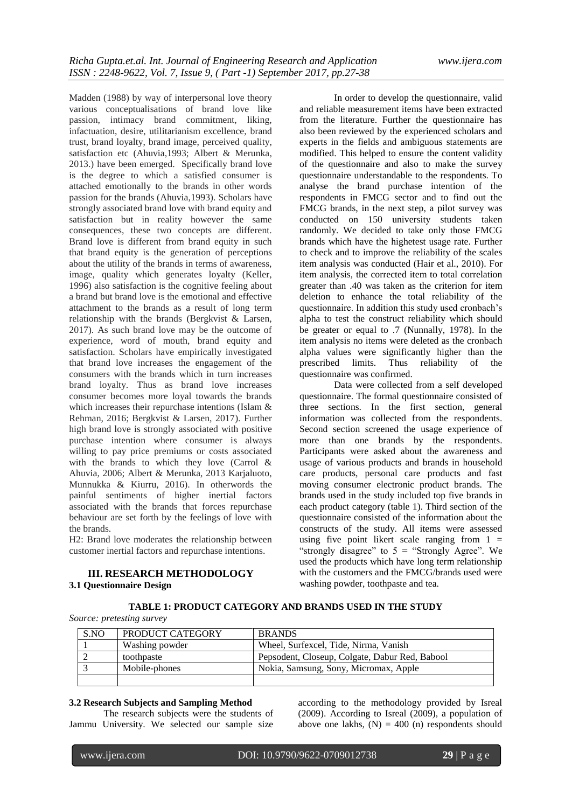Madden (1988) by way of interpersonal love theory various conceptualisations of brand love like passion, intimacy brand commitment, liking, infactuation, desire, utilitarianism excellence, brand trust, brand loyalty, brand image, perceived quality, satisfaction etc (Ahuvia,1993; Albert & Merunka, 2013.) have been emerged. Specifically brand love is the degree to which a satisfied consumer is attached emotionally to the brands in other words passion for the brands (Ahuvia,1993). Scholars have strongly associated brand love with brand equity and satisfaction but in reality however the same consequences, these two concepts are different. Brand love is different from brand equity in such that brand equity is the generation of perceptions about the utility of the brands in terms of awareness, image, quality which generates loyalty (Keller, 1996) also satisfaction is the cognitive feeling about a brand but brand love is the emotional and effective attachment to the brands as a result of long term relationship with the brands (Bergkvist & Larsen, 2017). As such brand love may be the outcome of experience, word of mouth, brand equity and satisfaction. Scholars have empirically investigated that brand love increases the engagement of the consumers with the brands which in turn increases brand loyalty. Thus as brand love increases consumer becomes more loyal towards the brands which increases their repurchase intentions (Islam & Rehman, 2016; Bergkvist & Larsen, 2017). Further high brand love is strongly associated with positive purchase intention where consumer is always willing to pay price premiums or costs associated with the brands to which they love (Carrol & Ahuvia, 2006; Albert & Merunka, 2013 Karjaluoto, Munnukka & Kiurru, 2016). In otherwords the painful sentiments of higher inertial factors associated with the brands that forces repurchase behaviour are set forth by the feelings of love with the brands.

H2: Brand love moderates the relationship between customer inertial factors and repurchase intentions.

# **III. RESEARCH METHODOLOGY 3.1 Questionnaire Design**

In order to develop the questionnaire, valid and reliable measurement items have been extracted from the literature. Further the questionnaire has also been reviewed by the experienced scholars and experts in the fields and ambiguous statements are modified. This helped to ensure the content validity of the questionnaire and also to make the survey questionnaire understandable to the respondents. To analyse the brand purchase intention of the respondents in FMCG sector and to find out the FMCG brands, in the next step, a pilot survey was conducted on 150 university students taken randomly. We decided to take only those FMCG brands which have the highetest usage rate. Further to check and to improve the reliability of the scales item analysis was conducted (Hair et al., 2010). For item analysis, the corrected item to total correlation greater than .40 was taken as the criterion for item deletion to enhance the total reliability of the questionnaire. In addition this study used cronbach's alpha to test the construct reliability which should be greater or equal to .7 (Nunnally, 1978). In the item analysis no items were deleted as the cronbach alpha values were significantly higher than the prescribed limits. Thus reliability of the questionnaire was confirmed.

Data were collected from a self developed questionnaire. The formal questionnaire consisted of three sections. In the first section, general information was collected from the respondents. Second section screened the usage experience of more than one brands by the respondents. Participants were asked about the awareness and usage of various products and brands in household care products, personal care products and fast moving consumer electronic product brands. The brands used in the study included top five brands in each product category (table 1). Third section of the questionnaire consisted of the information about the constructs of the study. All items were assessed using five point likert scale ranging from  $1 =$ "strongly disagree" to  $5 =$  "Strongly Agree". We used the products which have long term relationship with the customers and the FMCG/brands used were washing powder, toothpaste and tea.

# **TABLE 1: PRODUCT CATEGORY AND BRANDS USED IN THE STUDY**

| S.NO | PRODUCT CATEGORY | <b>BRANDS</b>                                  |
|------|------------------|------------------------------------------------|
|      | Washing powder   | Wheel, Surfexcel, Tide, Nirma, Vanish          |
|      | toothpaste       | Pepsodent, Closeup, Colgate, Dabur Red, Babool |
|      | Mobile-phones    | Nokia, Samsung, Sony, Micromax, Apple          |
|      |                  |                                                |

#### **3.2 Research Subjects and Sampling Method**

The research subjects were the students of Jammu University. We selected our sample size

according to the methodology provided by Isreal (2009). According to Isreal (2009), a population of above one lakhs,  $(N) = 400$  (n) respondents should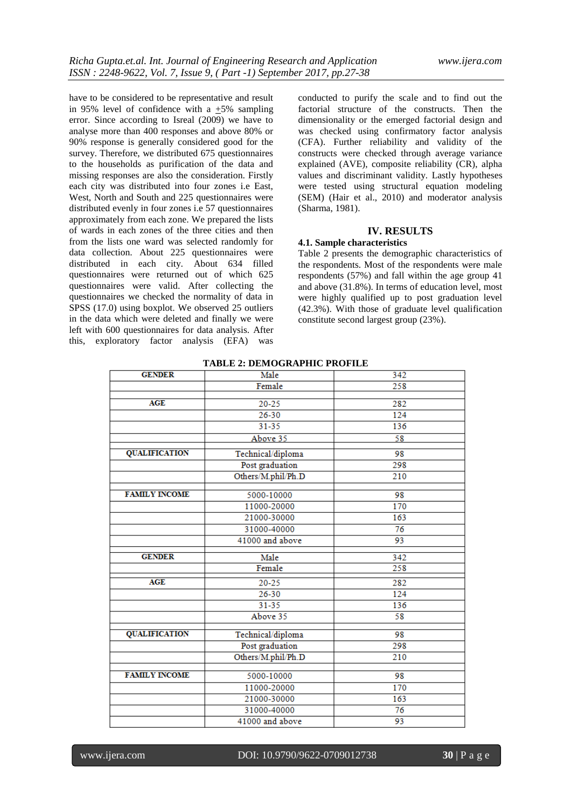have to be considered to be representative and result in 95% level of confidence with a  $\pm$ 5% sampling error. Since according to Isreal (2009) we have to analyse more than 400 responses and above 80% or 90% response is generally considered good for the survey. Therefore, we distributed 675 questionnaires to the households as purification of the data and missing responses are also the consideration. Firstly each city was distributed into four zones i.e East, West, North and South and 225 questionnaires were distributed evenly in four zones i.e 57 questionnaires approximately from each zone. We prepared the lists of wards in each zones of the three cities and then from the lists one ward was selected randomly for data collection. About 225 questionnaires were distributed in each city. About 634 filled questionnaires were returned out of which 625 questionnaires were valid. After collecting the questionnaires we checked the normality of data in SPSS (17.0) using boxplot. We observed 25 outliers in the data which were deleted and finally we were left with 600 questionnaires for data analysis. After this, exploratory factor analysis (EFA) was

conducted to purify the scale and to find out the factorial structure of the constructs. Then the dimensionality or the emerged factorial design and was checked using confirmatory factor analysis (CFA). Further reliability and validity of the constructs were checked through average variance explained (AVE), composite reliability (CR), alpha values and discriminant validity. Lastly hypotheses were tested using structural equation modeling (SEM) (Hair et al., 2010) and moderator analysis (Sharma, 1981).

### **IV. RESULTS**

#### **4.1. Sample characteristics**

Table 2 presents the demographic characteristics of the respondents. Most of the respondents were male respondents (57%) and fall within the age group 41 and above (31.8%). In terms of education level, most were highly qualified up to post graduation level (42.3%). With those of graduate level qualification constitute second largest group (23%).

| GENDER               | Male               | 342 |
|----------------------|--------------------|-----|
|                      | Female             | 258 |
|                      |                    |     |
| AGE                  | $20 - 25$          | 282 |
|                      | $26 - 30$          | 124 |
|                      | $31 - 35$          | 136 |
|                      | Above 35           | 58  |
| <b>QUALIFICATION</b> | Technical/diploma  | 98  |
|                      | Post graduation    | 298 |
|                      | Others/M.phil/Ph.D | 210 |
| <b>FAMILY INCOME</b> | 5000-10000         | 98  |
|                      | 11000-20000        | 170 |
|                      |                    |     |
|                      | 21000-30000        | 163 |
|                      | 31000-40000        | 76  |
|                      | 41000 and above    | 93  |
| <b>GENDER</b>        | Male               | 342 |
|                      | Female             | 258 |
| <b>AGE</b>           | $20 - 25$          | 282 |
|                      | 26-30              | 124 |
|                      | $31 - 35$          | 136 |
|                      | Above 35           | 58  |
| <b>QUALIFICATION</b> | Technical/diploma  | 98  |
|                      | Post graduation    | 298 |
|                      | Others/M.phil/Ph.D | 210 |
|                      |                    |     |
| <b>FAMILY INCOME</b> | 5000-10000         | 98  |
|                      | 11000-20000        | 170 |
|                      | 21000-30000        | 163 |
|                      | 31000-40000        | 76  |
|                      | 41000 and above    | 93  |
|                      |                    |     |

#### **TABLE 2: DEMOGRAPHIC PROFILE**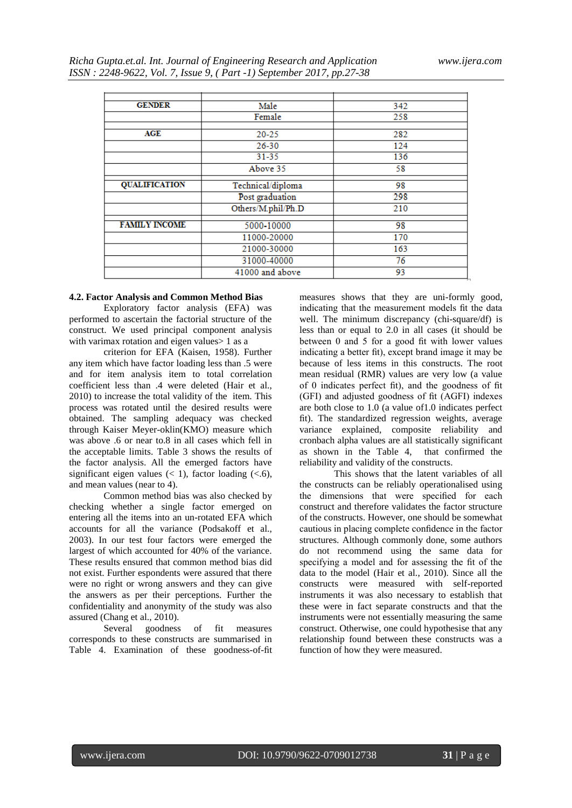| <b>GENDER</b>        | Male               | 342 |
|----------------------|--------------------|-----|
|                      | Female             | 258 |
|                      |                    |     |
| AGE                  | $20 - 25$          | 282 |
|                      | $26 - 30$          | 124 |
|                      | 31-35              | 136 |
|                      | Above 35           | 58  |
| <b>QUALIFICATION</b> | Technical/diploma  | 98  |
|                      | Post graduation    | 298 |
|                      | Others/M.phil/Ph.D | 210 |
| <b>FAMILY INCOME</b> | 5000-10000         | 98  |
|                      | 11000-20000        | 170 |
|                      | 21000-30000        | 163 |
|                      | 31000-40000        | 76  |
|                      | 41000 and above    | 93  |

#### **4.2. Factor Analysis and Common Method Bias**

Exploratory factor analysis (EFA) was performed to ascertain the factorial structure of the construct. We used principal component analysis with varimax rotation and eigen values > 1 as a

criterion for EFA (Kaisen, 1958). Further any item which have factor loading less than .5 were and for item analysis item to total correlation coefficient less than .4 were deleted (Hair et al., 2010) to increase the total validity of the item. This process was rotated until the desired results were obtained. The sampling adequacy was checked through Kaiser Meyer-oklin(KMO) measure which was above .6 or near to.8 in all cases which fell in the acceptable limits. Table 3 shows the results of the factor analysis. All the emerged factors have significant eigen values  $(< 1)$ , factor loading  $(< 6)$ , and mean values (near to 4).

Common method bias was also checked by checking whether a single factor emerged on entering all the items into an un-rotated EFA which accounts for all the variance (Podsakoff et al., 2003). In our test four factors were emerged the largest of which accounted for 40% of the variance. These results ensured that common method bias did not exist. Further espondents were assured that there were no right or wrong answers and they can give the answers as per their perceptions. Further the confidentiality and anonymity of the study was also

assured (Chang et al., 2010).<br>Several goodness Several goodness of fit measures corresponds to these constructs are summarised in Table 4. Examination of these goodness-of-fit measures shows that they are uni-formly good, indicating that the measurement models fit the data well. The minimum discrepancy (chi-square/df) is less than or equal to 2.0 in all cases (it should be between 0 and 5 for a good fit with lower values indicating a better fit), except brand image it may be because of less items in this constructs. The root mean residual (RMR) values are very low (a value of 0 indicates perfect fit), and the goodness of fit (GFI) and adjusted goodness of fit (AGFI) indexes are both close to 1.0 (a value of1.0 indicates perfect fit). The standardized regression weights, average variance explained, composite reliability and cronbach alpha values are all statistically significant as shown in the Table 4, that confirmed the reliability and validity of the constructs.

This shows that the latent variables of all the constructs can be reliably operationalised using the dimensions that were specified for each construct and therefore validates the factor structure of the constructs. However, one should be somewhat cautious in placing complete confidence in the factor structures. Although commonly done, some authors do not recommend using the same data for specifying a model and for assessing the fit of the data to the model (Hair et al., 2010). Since all the constructs were measured with self-reported instruments it was also necessary to establish that these were in fact separate constructs and that the instruments were not essentially measuring the same construct. Otherwise, one could hypothesise that any relationship found between these constructs was a function of how they were measured.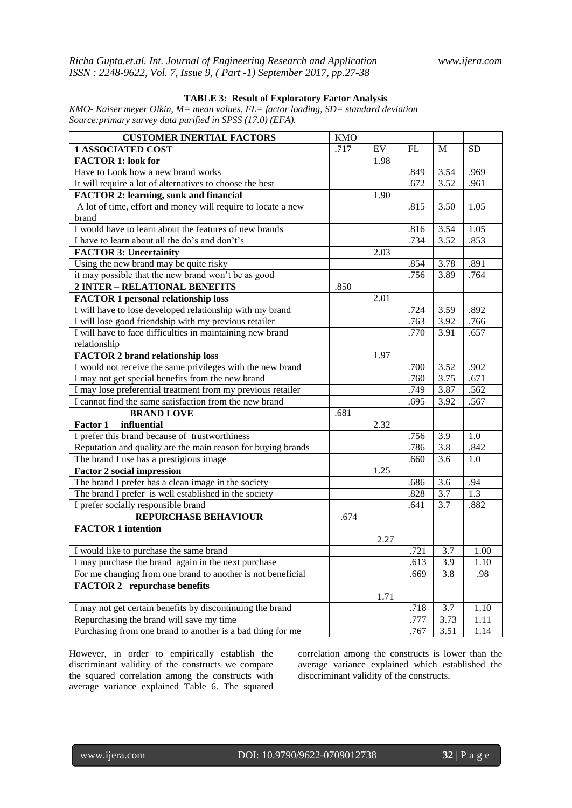| <b>CUSTOMER INERTIAL FACTORS</b>                                                                              | <b>KMO</b><br>.717 | $\mathop{\rm EV}\nolimits$ | FL   | M                | <b>SD</b>        |
|---------------------------------------------------------------------------------------------------------------|--------------------|----------------------------|------|------------------|------------------|
| <b>1 ASSOCIATED COST</b><br><b>FACTOR 1: look for</b>                                                         |                    |                            |      |                  |                  |
| Have to Look how a new brand works                                                                            |                    | 1.98                       | .849 | 3.54             | .969             |
| It will require a lot of alternatives to choose the best                                                      |                    |                            | .672 | 3.52             | .961             |
|                                                                                                               |                    | 1.90                       |      |                  |                  |
| <b>FACTOR 2: learning, sunk and financial</b><br>A lot of time, effort and money will require to locate a new |                    |                            | .815 | 3.50             | 1.05             |
| brand                                                                                                         |                    |                            |      |                  |                  |
| I would have to learn about the features of new brands                                                        |                    |                            | .816 | 3.54             | 1.05             |
| I have to learn about all the do's and don't's                                                                |                    |                            | .734 | 3.52             | .853             |
| <b>FACTOR 3: Uncertainity</b>                                                                                 |                    | 2.03                       |      |                  |                  |
| Using the new brand may be quite risky                                                                        |                    |                            |      | 3.78             | .891             |
|                                                                                                               |                    |                            | .854 |                  |                  |
| it may possible that the new brand won't be as good                                                           |                    |                            | .756 | 3.89             | .764             |
| 2 INTER - RELATIONAL BENEFITS                                                                                 | .850               |                            |      |                  |                  |
| <b>FACTOR 1 personal relationship loss</b>                                                                    |                    | 2.01                       |      |                  |                  |
| I will have to lose developed relationship with my brand                                                      |                    |                            | .724 | 3.59             | .892             |
| I will lose good friendship with my previous retailer                                                         |                    |                            | .763 | 3.92             | .766             |
| I will have to face difficulties in maintaining new brand                                                     |                    |                            | .770 | 3.91             | .657             |
| relationship                                                                                                  |                    |                            |      |                  |                  |
| <b>FACTOR 2 brand relationship loss</b>                                                                       |                    | 1.97                       |      |                  |                  |
| I would not receive the same privileges with the new brand                                                    |                    |                            | .700 | 3.52             | .902             |
| I may not get special benefits from the new brand                                                             |                    |                            | .760 | 3.75             | .671             |
| I may lose preferential treatment from my previous retailer                                                   |                    |                            | .749 | 3.87             | .562             |
| I cannot find the same satisfaction from the new brand                                                        |                    |                            | .695 | 3.92             | .567             |
| <b>BRAND LOVE</b>                                                                                             | .681               |                            |      |                  |                  |
| influential<br><b>Factor 1</b>                                                                                |                    | 2.32                       |      |                  |                  |
| I prefer this brand because of trustworthiness                                                                |                    |                            | .756 | 3.9              | 1.0              |
| Reputation and quality are the main reason for buying brands                                                  |                    |                            | .786 | 3.8              | .842             |
| The brand I use has a prestigious image                                                                       |                    |                            | .660 | 3.6              | 1.0              |
| <b>Factor 2 social impression</b>                                                                             |                    | 1.25                       |      |                  |                  |
| The brand I prefer has a clean image in the society                                                           |                    |                            | .686 | 3.6              | .94              |
| The brand I prefer is well established in the society                                                         |                    |                            | .828 | 3.7              | $\overline{1.3}$ |
| I prefer socially responsible brand                                                                           |                    |                            | .641 | 3.7              | .882             |
| REPURCHASE BEHAVIOUR                                                                                          | .674               |                            |      |                  |                  |
| <b>FACTOR 1 intention</b>                                                                                     |                    |                            |      |                  |                  |
|                                                                                                               |                    | 2.27                       |      |                  |                  |
| I would like to purchase the same brand                                                                       |                    |                            | .721 | 3.7              | 1.00             |
| I may purchase the brand again in the next purchase                                                           |                    |                            | .613 | 3.9              | 1.10             |
| For me changing from one brand to another is not beneficial                                                   |                    |                            | .669 | 3.8              | .98              |
| <b>FACTOR 2</b> repurchase benefits                                                                           |                    |                            |      |                  |                  |
|                                                                                                               |                    | 1.71                       |      |                  |                  |
| I may not get certain benefits by discontinuing the brand                                                     |                    |                            | .718 | $\overline{3.7}$ | 1.10             |
| Repurchasing the brand will save my time                                                                      |                    |                            | .777 | 3.73             | 1.11             |
| Purchasing from one brand to another is a bad thing for me                                                    |                    |                            | .767 | 3.51             | 1.14             |

# **TABLE 3: Result of Exploratory Factor Analysis**

*KMO- Kaiser meyer Olkin, M= mean values, FL= factor loading, SD= standard deviation Source:primary survey data purified in SPSS (17.0) (EFA).*

However, in order to empirically establish the discriminant validity of the constructs we compare the squared correlation among the constructs with average variance explained Table 6. The squared

correlation among the constructs is lower than the average variance explained which established the disccriminant validity of the constructs.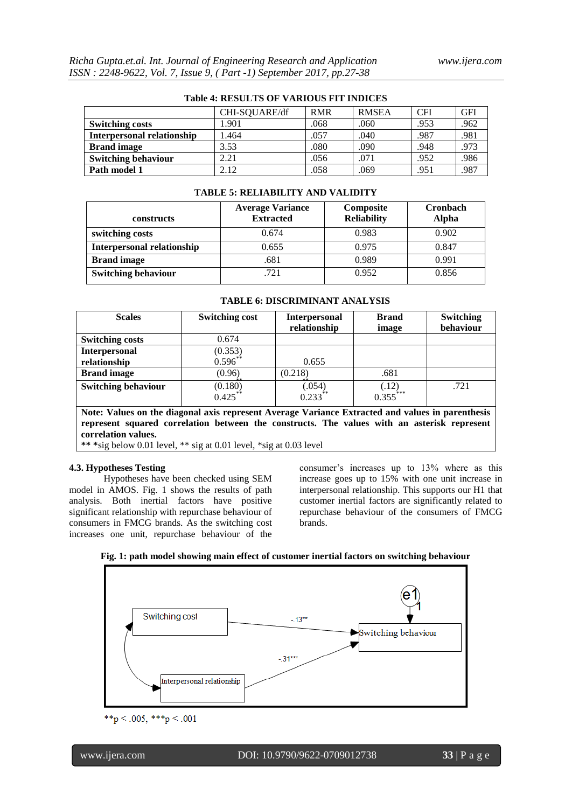| Table 7. REDULTD OF VARIOUD FIT HYDICED |               |            |              |            |            |  |  |  |
|-----------------------------------------|---------------|------------|--------------|------------|------------|--|--|--|
|                                         | CHI-SQUARE/df | <b>RMR</b> | <b>RMSEA</b> | <b>CFI</b> | <b>GFI</b> |  |  |  |
| <b>Switching costs</b>                  | 1.901         | .068       | .060         | .953       | .962       |  |  |  |
| <b>Interpersonal relationship</b>       | 1.464         | .057       | .040         | .987       | .981       |  |  |  |
| <b>Brand image</b>                      | 3.53          | .080       | .090         | .948       | .973       |  |  |  |
| <b>Switching behaviour</b>              | 2.21          | .056       | .071         | .952       | .986       |  |  |  |
| Path model 1                            | 2.12          | .058       | .069         | .951       | .987       |  |  |  |

# **Table 4: RESULTS OF VARIOUS FIT INDICES**

#### **TABLE 5: RELIABILITY AND VALIDITY**

| constructs                        | <b>Average Variance</b><br><b>Extracted</b> | Composite<br><b>Reliability</b> | Cronbach<br>Alpha |
|-----------------------------------|---------------------------------------------|---------------------------------|-------------------|
| switching costs                   | 0.674                                       | 0.983                           | 0.902             |
| <b>Interpersonal relationship</b> | 0.655                                       | 0.975                           | 0.847             |
| <b>Brand</b> image                | .681                                        | 0.989                           | 0.991             |
| <b>Switching behaviour</b>        | .721                                        | 0.952                           | 0.856             |

#### **TABLE 6: DISCRIMINANT ANALYSIS**

| <b>Scales</b>              | <b>Switching cost</b>              | <b>Interpersonal</b><br>relationship | <b>Brand</b><br>image           | <b>Switching</b><br>behaviour |  |
|----------------------------|------------------------------------|--------------------------------------|---------------------------------|-------------------------------|--|
| <b>Switching costs</b>     | 0.674                              |                                      |                                 |                               |  |
| <b>Interpersonal</b>       | $(0.353)$<br>$0.596**$             |                                      |                                 |                               |  |
| relationship               |                                    | 0.655                                |                                 |                               |  |
| <b>Brand</b> image         | (0.96)                             | (0.218)                              | .681                            |                               |  |
| <b>Switching behaviour</b> | $(0.180)$<br>$0.425$ <sup>**</sup> | (.054)<br>$0.233**$                  | $(.12)$<br>0.355 <sup>***</sup> | .721                          |  |

**Note: Values on the diagonal axis represent Average Variance Extracted and values in parenthesis represent squared correlation between the constructs. The values with an asterisk represent correlation values.**

**\*\* \***sig below 0.01 level, \*\* sig at 0.01 level, \*sig at 0.03 level

#### **4.3. Hypotheses Testing**

Hypotheses have been checked using SEM model in AMOS. Fig. 1 shows the results of path analysis. Both inertial factors have positive significant relationship with repurchase behaviour of consumers in FMCG brands. As the switching cost increases one unit, repurchase behaviour of the consumer's increases up to 13% where as this increase goes up to 15% with one unit increase in interpersonal relationship. This supports our H1 that customer inertial factors are significantly related to repurchase behaviour of the consumers of FMCG brands.



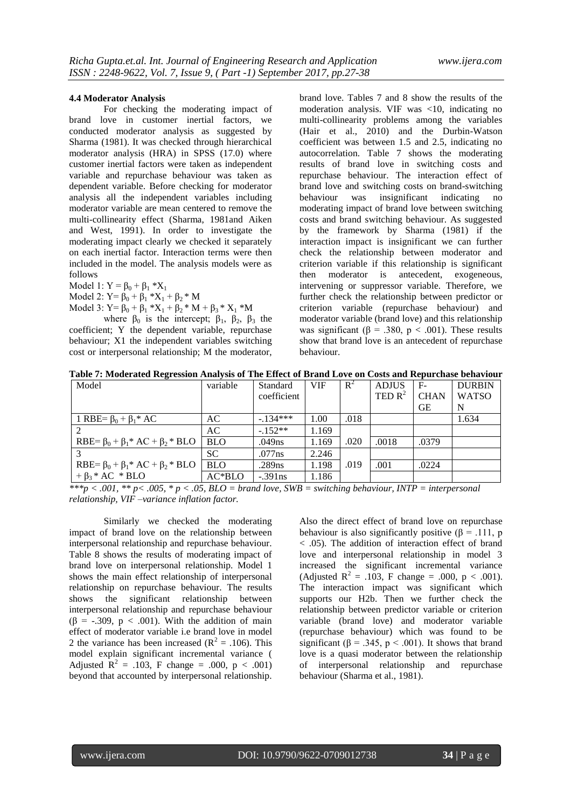#### **4.4 Moderator Analysis**

For checking the moderating impact of brand love in customer inertial factors, we conducted moderator analysis as suggested by Sharma (1981). It was checked through hierarchical moderator analysis (HRA) in SPSS (17.0) where customer inertial factors were taken as independent variable and repurchase behaviour was taken as dependent variable. Before checking for moderator analysis all the independent variables including moderator variable are mean centered to remove the multi-collinearity effect (Sharma, 1981and Aiken and West, 1991). In order to investigate the moderating impact clearly we checked it separately on each inertial factor. Interaction terms were then included in the model. The analysis models were as follows

Model 1:  $Y = \beta_0 + \beta_1 * X_1$ 

Model 2:  $Y = \beta_0 + \beta_1 * X_1 + \beta_2 * M$ 

Model 3:  $Y = \beta_0 + \beta_1 * X_1 + \beta_2 * M + \beta_3 * X_1 * M$ 

where  $\beta_0$  is the intercept;  $\beta_1$ ,  $\beta_2$ ,  $\beta_3$  the coefficient; Y the dependent variable, repurchase behaviour; X1 the independent variables switching cost or interpersonal relationship; M the moderator, brand love. Tables 7 and 8 show the results of the moderation analysis. VIF was <10, indicating no multi-collinearity problems among the variables (Hair et al., 2010) and the Durbin-Watson coefficient was between 1.5 and 2.5, indicating no autocorrelation. Table 7 shows the moderating results of brand love in switching costs and repurchase behaviour. The interaction effect of brand love and switching costs on brand-switching behaviour was insignificant indicating no moderating impact of brand love between switching costs and brand switching behaviour. As suggested by the framework by Sharma (1981) if the interaction impact is insignificant we can further check the relationship between moderator and criterion variable if this relationship is significant then moderator is antecedent, exogeneous, intervening or suppressor variable. Therefore, we further check the relationship between predictor or criterion variable (repurchase behaviour) and moderator variable (brand love) and this relationship was significant ( $\beta$  = .380, p < .001). These results show that brand love is an antecedent of repurchase behaviour.

**Table 7: Moderated Regression Analysis of The Effect of Brand Love on Costs and Repurchase behaviour**

| Model                                           | variable   | Standard    | <b>VIF</b> | $R^2$ | <b>ADJUS</b> | $F-$        | <b>DURBIN</b> |
|-------------------------------------------------|------------|-------------|------------|-------|--------------|-------------|---------------|
|                                                 |            | coefficient |            |       | TED $R^2$    | <b>CHAN</b> | <b>WATSO</b>  |
|                                                 |            |             |            |       |              | <b>GE</b>   | N             |
| 1 RBE= $\beta_0$ + $\beta_1$ <sup>*</sup> AC    | AC.        | $-134***$   | 1.00       | .018  |              |             | .634          |
|                                                 | AC         | $-152**$    | 1.169      |       |              |             |               |
| RBE= $\beta_0 + \beta_1$ * AC + $\beta_2$ * BLO | <b>BLO</b> | .049ns      | 1.169      | .020  | .0018        | .0379       |               |
|                                                 | <b>SC</b>  | .077ns      | 2.246      |       |              |             |               |
| RBE= $\beta_0 + \beta_1$ * AC + $\beta_2$ * BLO | <b>BLO</b> | .289ns      | 1.198      | .019  | .001         | .0224       |               |
| $+\beta_3 * AC * BLO$                           | $AC*BLO$   | $-.391ns$   | 1.186      |       |              |             |               |

*\*\*\*p < .001, \*\* p< .005, \* p < .05, BLO = brand love, SWB = switching behaviour, INTP = interpersonal relationship, VIF –variance inflation factor.*

Similarly we checked the moderating impact of brand love on the relationship between interpersonal relationship and repurchase behaviour. Table 8 shows the results of moderating impact of brand love on interpersonal relationship. Model 1 shows the main effect relationship of interpersonal relationship on repurchase behaviour. The results shows the significant relationship between interpersonal relationship and repurchase behaviour  $(\beta = -.309, p < .001)$ . With the addition of main effect of moderator variable i.e brand love in model 2 the variance has been increased ( $R^2 = .106$ ). This model explain significant incremental variance ( Adjusted  $R^2 = .103$ , F change = .000, p < .001) beyond that accounted by interpersonal relationship.

Also the direct effect of brand love on repurchase behaviour is also significantly positive  $(\beta = .111, p)$ < .05). The addition of interaction effect of brand love and interpersonal relationship in model 3 increased the significant incremental variance (Adjusted  $R^2 = .103$ , F change = .000, p < .001). The interaction impact was significant which supports our H2b. Then we further check the relationship between predictor variable or criterion variable (brand love) and moderator variable (repurchase behaviour) which was found to be significant ( $\beta$  = .345,  $p$  < .001). It shows that brand love is a quasi moderator between the relationship of interpersonal relationship and repurchase behaviour (Sharma et al., 1981).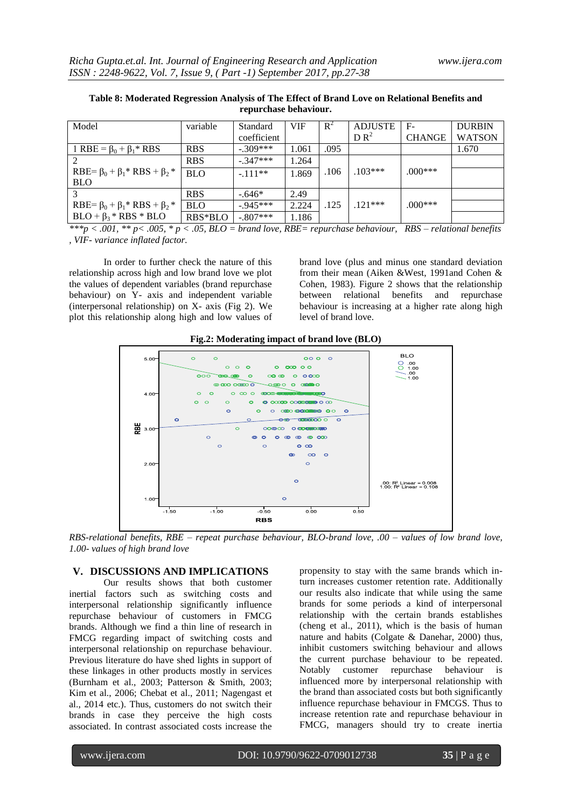| Model                                          | variable   | Standard    | <b>VIF</b> | $R^2$ | <b>ADJUSTE</b>  | $F-$          | <b>DURBIN</b> |
|------------------------------------------------|------------|-------------|------------|-------|-----------------|---------------|---------------|
|                                                |            | coefficient |            |       | DR <sup>2</sup> | <b>CHANGE</b> | <b>WATSON</b> |
| 1 RBE = $\beta_0$ + $\beta_1$ <sup>*</sup> RBS | <b>RBS</b> | $-.309***$  | 1.061      | .095  |                 |               | 1.670         |
|                                                | <b>RBS</b> | $-.347***$  | 1.264      |       |                 |               |               |
| RBE= $\beta_0 + \beta_1$ * RBS + $\beta_2$ *   | <b>BLO</b> | $-.111**$   | 1.869      | .106  | $103***$        | $.000***$     |               |
| <b>BLO</b>                                     |            |             |            |       |                 |               |               |
|                                                | <b>RBS</b> | $-.646*$    | 2.49       |       |                 |               |               |
| RBE= $\beta_0 + \beta_1$ * RBS + $\beta_2$ *   | <b>BLO</b> | $-945***$   | 2.224      | .125  | $121***$        | $.000***$     |               |
| $BLO + \beta_3 * RBS * BLO$                    | RBS*BLO    | $-.807***$  | 1.186      |       |                 |               |               |

**Table 8: Moderated Regression Analysis of The Effect of Brand Love on Relational Benefits and repurchase behaviour.**

*\*\*\*p < .001, \*\* p< .005, \* p < .05, BLO = brand love, RBE= repurchase behaviour, RBS – relational benefits , VIF- variance inflated factor.* 

In order to further check the nature of this relationship across high and low brand love we plot the values of dependent variables (brand repurchase behaviour) on Y- axis and independent variable (interpersonal relationship) on X- axis (Fig 2). We plot this relationship along high and low values of brand love (plus and minus one standard deviation from their mean (Aiken &West, 1991and Cohen & Cohen, 1983). Figure 2 shows that the relationship between relational benefits and repurchase behaviour is increasing at a higher rate along high level of brand love.





*RBS-relational benefits, RBE – repeat purchase behaviour, BLO-brand love, .00 – values of low brand love, 1.00- values of high brand love* 

# **V. DISCUSSIONS AND IMPLICATIONS**

Our results shows that both customer inertial factors such as switching costs and interpersonal relationship significantly influence repurchase behaviour of customers in FMCG brands. Although we find a thin line of research in FMCG regarding impact of switching costs and interpersonal relationship on repurchase behaviour. Previous literature do have shed lights in support of these linkages in other products mostly in services (Burnham et al., 2003; Patterson & Smith, 2003; Kim et al., 2006; Chebat et al., 2011; Nagengast et al., 2014 etc.). Thus, customers do not switch their brands in case they perceive the high costs associated. In contrast associated costs increase the

propensity to stay with the same brands which inturn increases customer retention rate. Additionally our results also indicate that while using the same brands for some periods a kind of interpersonal relationship with the certain brands establishes (cheng et al., 2011), which is the basis of human nature and habits (Colgate & Danehar, 2000) thus, inhibit customers switching behaviour and allows the current purchase behaviour to be repeated. Notably customer repurchase behaviour is influenced more by interpersonal relationship with the brand than associated costs but both significantly influence repurchase behaviour in FMCGS. Thus to increase retention rate and repurchase behaviour in FMCG, managers should try to create inertia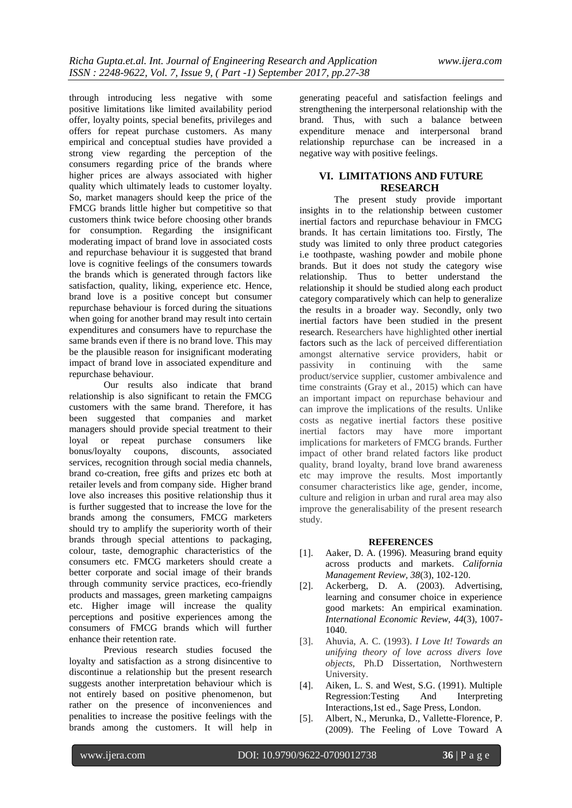through introducing less negative with some positive limitations like limited availability period offer, loyalty points, special benefits, privileges and offers for repeat purchase customers. As many empirical and conceptual studies have provided a strong view regarding the perception of the consumers regarding price of the brands where higher prices are always associated with higher quality which ultimately leads to customer loyalty. So, market managers should keep the price of the FMCG brands little higher but competitive so that customers think twice before choosing other brands for consumption. Regarding the insignificant moderating impact of brand love in associated costs and repurchase behaviour it is suggested that brand love is cognitive feelings of the consumers towards the brands which is generated through factors like satisfaction, quality, liking, experience etc. Hence, brand love is a positive concept but consumer repurchase behaviour is forced during the situations when going for another brand may result into certain expenditures and consumers have to repurchase the same brands even if there is no brand love. This may be the plausible reason for insignificant moderating impact of brand love in associated expenditure and repurchase behaviour.

Our results also indicate that brand relationship is also significant to retain the FMCG customers with the same brand. Therefore, it has been suggested that companies and market managers should provide special treatment to their loyal or repeat purchase consumers like bonus/loyalty coupons, discounts, associated services, recognition through social media channels, brand co-creation, free gifts and prizes etc both at retailer levels and from company side. Higher brand love also increases this positive relationship thus it is further suggested that to increase the love for the brands among the consumers, FMCG marketers should try to amplify the superiority worth of their brands through special attentions to packaging, colour, taste, demographic characteristics of the consumers etc. FMCG marketers should create a better corporate and social image of their brands through community service practices, eco-friendly products and massages, green marketing campaigns etc. Higher image will increase the quality perceptions and positive experiences among the consumers of FMCG brands which will further enhance their retention rate.

Previous research studies focused the loyalty and satisfaction as a strong disincentive to discontinue a relationship but the present research suggests another interpretation behaviour which is not entirely based on positive phenomenon, but rather on the presence of inconveniences and penalities to increase the positive feelings with the brands among the customers. It will help in generating peaceful and satisfaction feelings and strengthening the interpersonal relationship with the brand. Thus, with such a balance between expenditure menace and interpersonal brand relationship repurchase can be increased in a negative way with positive feelings.

# **VI. LIMITATIONS AND FUTURE RESEARCH**

The present study provide important insights in to the relationship between customer inertial factors and repurchase behaviour in FMCG brands. It has certain limitations too. Firstly, The study was limited to only three product categories i.e toothpaste, washing powder and mobile phone brands. But it does not study the category wise relationship. Thus to better understand the relationship it should be studied along each product category comparatively which can help to generalize the results in a broader way. Secondly, only two inertial factors have been studied in the present research. Researchers have highlighted other inertial factors such as the lack of perceived differentiation amongst alternative service providers, habit or passivity in continuing with the same product/service supplier, customer ambivalence and time constraints (Gray et al., 2015) which can have an important impact on repurchase behaviour and can improve the implications of the results. Unlike costs as negative inertial factors these positive inertial factors may have more important implications for marketers of FMCG brands. Further impact of other brand related factors like product quality, brand loyalty, brand love brand awareness etc may improve the results. Most importantly consumer characteristics like age, gender, income, culture and religion in urban and rural area may also improve the generalisability of the present research study.

# **REFERENCES**

- [1]. Aaker, D. A. (1996). Measuring brand equity across products and markets. *California Management Review, 38*(3), 102-120.
- [2]. Ackerberg, D. A. (2003). Advertising, learning and consumer choice in experience good markets: An empirical examination. *International Economic Review, 44*(3), 1007- 1040.
- [3]. Ahuvia, A. C. (1993). *I Love It! Towards an unifying theory of love across divers love objects*, Ph.D Dissertation, Northwestern University.
- [4]. Aiken, L. S. and West, S.G. (1991). Multiple Regression:Testing And Interpreting Interactions,1st ed., Sage Press, London.
- [5]. Albert, N., Merunka, D., Vallette-Florence, P. (2009). The Feeling of Love Toward A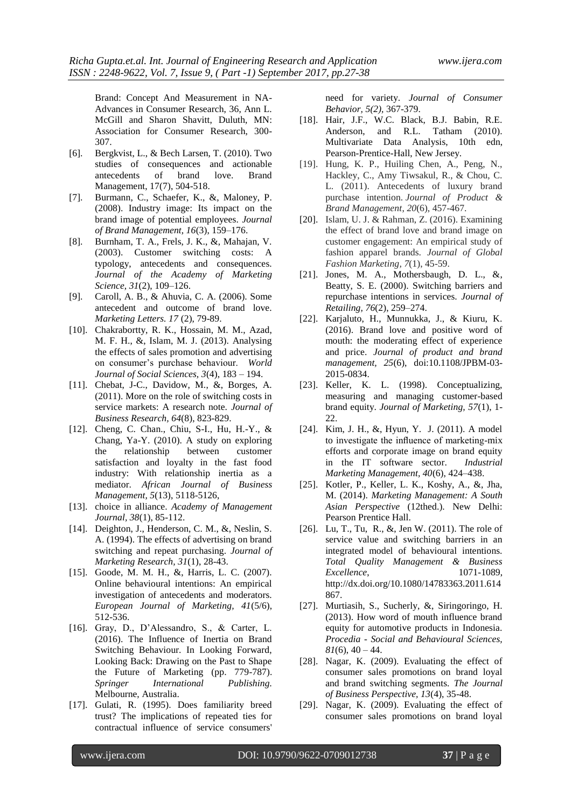Brand: Concept And Measurement in NA-Advances in Consumer Research, 36, Ann L. McGill and Sharon Shavitt, Duluth, MN: Association for Consumer Research, 300- 307.

- [6]. Bergkvist, L., & Bech Larsen, T. (2010). Two studies of consequences and actionable antecedents of brand love. Brand Management, 17(7), 504-518.
- [7]. Burmann, C., Schaefer, K., &, Maloney, P. (2008). Industry image: Its impact on the brand image of potential employees. *Journal of Brand Management, 16*(3), 159–176.
- [8]. Burnham, T. A., Frels, J. K., &, Mahajan, V. (2003). Customer switching costs: A typology, antecedents and consequences. *Journal of the Academy of Marketing Science, 31*(2), 109–126.
- [9]. Caroll, A. B., & Ahuvia, C. A. (2006). Some antecedent and outcome of brand love. *Marketing Letters. 17* (2), 79-89.
- [10]. Chakrabortty, R. K., Hossain, M. M., Azad, M. F. H., &, Islam, M. J. (2013). Analysing the effects of sales promotion and advertising on consumer's purchase behaviour. *World Journal of Social Sciences, 3*(4), 183 – 194.
- [11]. Chebat, J-C., Davidow, M., &, Borges, A. (2011). More on the role of switching costs in service markets: A research note. *Journal of Business Research, 64*(8), 823-829.
- [12]. Cheng, C. Chan., Chiu, S-I., Hu, H.-Y., & Chang, Ya-Y. (2010). A study on exploring the relationship between customer satisfaction and loyalty in the fast food industry: With relationship inertia as a mediator. *African Journal of Business Management, 5*(13), 5118-5126,
- [13]. choice in alliance. *Academy of Management Journal, 38*(1), 85-112.
- [14]. Deighton, J., Henderson, C. M., &, Neslin, S. A. (1994). The effects of advertising on brand switching and repeat purchasing. *Journal of Marketing Research, 31*(1), 28-43.
- [15]. Goode, M. M. H., &, Harris, L. C. (2007). Online behavioural intentions: An empirical investigation of antecedents and moderators. *European Journal of Marketing, 41*(5/6), 512-536.
- [16]. Gray, D., D'Alessandro, S., & Carter, L. (2016). The Influence of Inertia on Brand Switching Behaviour. In Looking Forward, Looking Back: Drawing on the Past to Shape the Future of Marketing (pp. 779-787). *Springer International Publishing.* Melbourne, Australia.
- [17]. Gulati, R. (1995). Does familiarity breed trust? The implications of repeated ties for contractual influence of service consumers'

need for variety. *Journal of Consumer Behavior, 5(2),* 367-379.

- [18]. Hair, J.F., W.C. Black, B.J. Babin, R.E. Anderson, and R.L. Tatham (2010). Multivariate Data Analysis, 10th edn, Pearson-Prentice-Hall, New Jersey.
- [19]. Hung, K. P., Huiling Chen, A., Peng, N., Hackley, C., Amy Tiwsakul, R., & Chou, C. L. (2011). Antecedents of luxury brand purchase intention. *Journal of Product & Brand Management*, *20*(6), 457-467.
- [20]. Islam, U. J. & Rahman, Z. (2016). Examining the effect of brand love and brand image on customer engagement: An empirical study of fashion apparel brands. *Journal of Global Fashion Marketing, 7*(1), 45-59.
- [21]. Jones, M. A., Mothersbaugh, D. L.,  $\&$ , Beatty, S. E. (2000). Switching barriers and repurchase intentions in services. *Journal of Retailing, 76*(2), 259–274.
- [22]. Karjaluto, H., Munnukka, J., & Kiuru, K. (2016). Brand love and positive word of mouth: the moderating effect of experience and price. *Journal of product and brand management, 25*(6), doi:10.1108/JPBM-03- 2015-0834.
- [23]. Keller, K. L. (1998). Conceptualizing, measuring and managing customer-based brand equity. *Journal of Marketing, 57*(1), 1-  $22.2$
- [24]. Kim, J. H., &, Hyun, Y. J. (2011). A model to investigate the influence of marketing-mix efforts and corporate image on brand equity in the IT software sector. *Industrial Marketing Management, 40*(6), 424–438.
- [25]. Kotler, P., Keller, L. K., Koshy, A., &, Jha, M. (2014). *Marketing Management: A South Asian Perspective* (12thed.). New Delhi: Pearson Prentice Hall.
- [26]. Lu, T., Tu, R., &, Jen W. (2011). The role of service value and switching barriers in an integrated model of behavioural intentions. *Total Quality Management & Business Excellence*, 1071-1089, http://dx.doi.org/10.1080/14783363.2011.614 867.
- [27]. Murtiasih, S., Sucherly, &, Siringoringo, H. (2013). How word of mouth influence brand equity for automotive products in Indonesia. *Procedia - Social and Behavioural Sciences,*   $81(6)$ ,  $40 - 44$ .
- [28]. Nagar, K. (2009). Evaluating the effect of consumer sales promotions on brand loyal and brand switching segments. *The Journal of Business Perspective, 13*(4), 35-48.
- [29]. Nagar, K. (2009). Evaluating the effect of consumer sales promotions on brand loyal